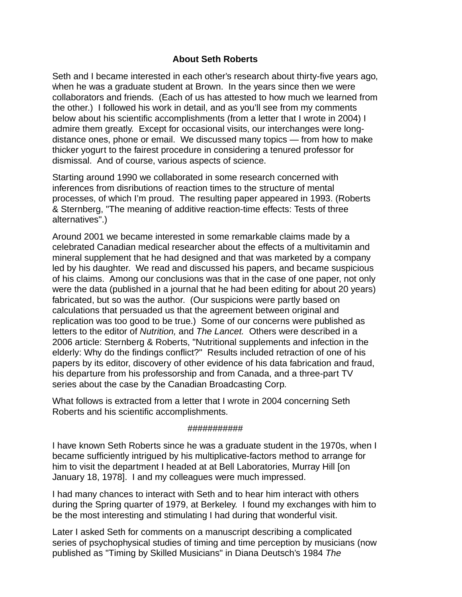## **About Seth Roberts**

. when he was a graduate student at Brown. In the years since then we were Seth and I became interested in each other's research about thirty-five years ago, collaborators and friends. (Each of us has attested to how much we learned from the other.) I followed his work in detail, and as you'll see from my comments below about his scientific accomplishments (from a letter that I wrote in 2004) I admire them greatly. Except for occasional visits, our interchanges were longdistance ones, phone or email. We discussed many topics — from how to make thicker yogurt to the fairest procedure in considering a tenured professor for dismissal. And of course, various aspects of science.

Starting around 1990 we collaborated in some research concerned with inferences from disributions of reaction times to the structure of mental processes, of which I'm proud. The resulting paper appeared in 1993. (Roberts & Sternberg, "The meaning of additive reaction-time effects: Tests of three alternatives".)

Around 2001 we became interested in some remarkable claims made by a celebrated Canadian medical researcher about the effects of a multivitamin and mineral supplement that he had designed and that was marketed by a company led by his daughter. We read and discussed his papers, and became suspicious of his claims. Among our conclusions was that in the case of one paper, not only were the data (published in a journal that he had been editing for about 20 years) fabricated, but so was the author. (Our suspicions were partly based on calculations that persuaded us that the agreement between original and replication was too good to be true.) Some of our concerns were published as letters to the editor of Nutrition, and The Lancet. Others were described in a 2006 article: Sternberg & Roberts, "Nutritional supplements and infection in the elderly: Why do the findings conflict?" Results included retraction of one of his papers by its editor, discovery of other evidence of his data fabrication and fraud, his departure from his professorship and from Canada, and a three-part TV series about the case by the Canadian Broadcasting Corp.

What follows is extracted from a letter that I wrote in 2004 concerning Seth Roberts and his scientific accomplishments.

## ###########

I have known Seth Roberts since he was a graduate student in the 1970s, when I became sufficiently intrigued by his multiplicative-factors method to arrange for him to visit the department I headed at at Bell Laboratories, Murray Hill [on January 18, 1978]. I and my colleagues were much impressed.

I had many chances to interact with Seth and to hear him interact with others during the Spring quarter of 1979, at Berkeley. I found my exchanges with him to be the most interesting and stimulating I had during that wonderful visit.

Later I asked Seth for comments on a manuscript describing a complicated series of psychophysical studies of timing and time perception by musicians (now published as "Timing by Skilled Musicians" in Diana Deutsch's 1984 The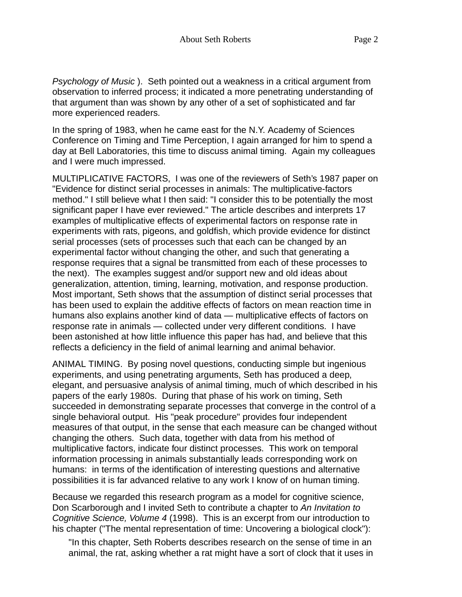Psychology of Music ). Seth pointed out a weakness in a critical argument from obser vation to inferred process; it indicated a more penetrating understanding of that argument than was shown by any other of a set of sophisticated and far more experienced readers.

In the spring of 1983, when he came east for the N.Y. Academy of Sciences Conference on Timing and Time Perception, I again arranged for him to spend a day at Bell Laboratories, this time to discuss animal timing. Again my colleagues and I were much impressed.

MULTIPLICATIVE FACTORS, I was one of the reviewers of Seth's 1987 paper on "Evidence for distinct serial processes in animals: The multiplicative-factors method." I still believe what I then said: "I consider this to be potentially the most significant paper I have ever reviewed." The article describes and interprets 17 examples of multiplicative effects of experimental factors on response rate in experiments with rats, pigeons, and goldfish, which provide evidence for distinct serial processes (sets of processes such that each can be changed by an experimental factor without changing the other, and such that generating a response requires that a signal be transmitted from each of these processes to the next). The examples suggest and/or support new and old ideas about generalization, attention, timing, learning, motivation, and response production. Most important, Seth shows that the assumption of distinct serial processes that has been used to explain the additive effects of factors on mean reaction time in humans also explains another kind of data — multiplicative effects of factors on response rate in animals - collected under very different conditions. I have been astonished at how little influence this paper has had, and believe that this reflects a deficiency in the field of animal learning and animal behavior.

ANIMAL TIMING. By posing novel questions, conducting simple but ingenious experiments, and using penetrating arguments, Seth has produced a deep, elegant, and persuasive analysis of animal timing, much of which described in his papers of the early 1980s. During that phase of his work on timing, Seth succeeded in demonstrating separate processes that converge in the control of a single behavioral output. His "peak procedure" provides four independent measures of that output, in the sense that each measure can be changed without changing the others. Such data, together with data from his method of multiplicative factors, indicate four distinct processes. This work on temporal information processing in animals substantially leads corresponding work on humans: in terms of the identification of interesting questions and alternative possibilities it is far advanced relative to any work I know of on human timing.

Because we regarded this research program as a model for cognitive science, Don Scarborough and I invited Seth to contribute a chapter to An Invitation to Cognitive Science, Volume 4 (1998). This is an excerpt from our introduction to his chapter ("The mental representation of time: Uncovering a biological clock"):

"In this chapter, Seth Roberts describes research on the sense of time in an animal, the rat, asking whether a rat might have a sort of clock that it uses in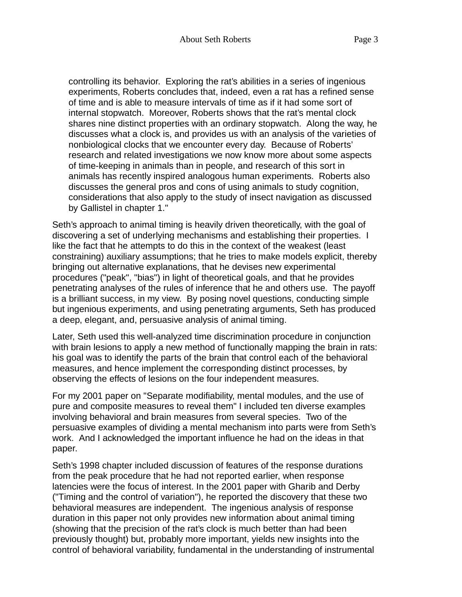controlling its behavior. Exploring the rat's abilities in a series of ingenious experiments, Roberts concludes that, indeed, even a rat has a refined sense of time and is able to measure intervals of time as if it had some sort of internal stopwatch. Moreover, Roberts shows that the rat's mental clock shares nine distinct properties with an ordinary stopwatch. Along the way, he discusses what a clock is, and provides us with an analysis of the varieties of nonbiological clocks that we encounter every day. Because of Roberts' research and related investigations we now know more about some aspects of time-keeping in animals than in people, and research of this sort in animals has recently inspired analogous human experiments. Roberts also discusses the general pros and cons of using animals to study cognition, considerations that also apply to the study of insect navigation as discussed by Gallistel in chapter 1."

Seth's approach to animal timing is heavily driven theoretically, with the goal of discovering a set of underlying mechanisms and establishing their properties. I like the fact that he attempts to do this in the context of the weakest (least constraining) auxiliary assumptions; that he tries to make models explicit, thereby bringing out alternative explanations, that he devises new experimental procedures ("peak", "bias") in light of theoretical goals, and that he provides penetrating analyses of the rules of inference that he and others use. The payoff is a brilliant success, in my view. By posing novel questions, conducting simple but ingenious experiments, and using penetrating arguments, Seth has produced a deep, elegant, and, persuasive analysis of animal timing.

Later, Seth used this well-analyzed time discrimination procedure in conjunction with brain lesions to apply a new method of functionally mapping the brain in rats: his goal was to identify the parts of the brain that control each of the behavioral measures, and hence implement the corresponding distinct processes, by obser ving the effects of lesions on the four independent measures.

For my 2001 paper on "Separate modifiability, mental modules, and the use of pure and composite measures to reveal them" I included ten diverse examples involving behavioral and brain measures from several species. Two of the persuasive examples of dividing a mental mechanism into parts were from Seth's work. And I acknowledged the important influence he had on the ideas in that paper.

Seth's 1998 chapter included discussion of features of the response durations from the peak procedure that he had not reported earlier, when response latencies were the focus of interest. In the 2001 paper with Gharib and Derby ("Timing and the control of variation"), he reported the discovery that these two behavioral measures are independent. The ingenious analysis of response duration in this paper not only provides new information about animal timing (showing that the precision of the rat's clock is much better than had been previously thought) but, probably more important, yields new insights into the control of behavioral variability, fundamental in the understanding of instrumental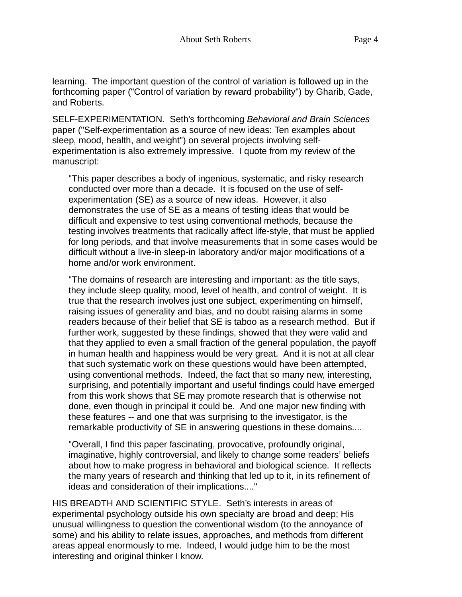learning. The important question of the control of variation is followed up in the forthcoming paper ("Control of variation by reward probability") by Gharib, Gade, and Roberts.

SELF-EXPERIMENTATION. Seth's forthcoming Behavioral and Brain Sciences paper ("Self-experimentation as a source of new ideas: Ten examples about sleep, mood, health, and weight") on several projects involving selfexperimentation is also extremely impressive. I quote from my review of the manuscript:

"This paper describes a body of ingenious, systematic, and risky research conducted over more than a decade. It is focused on the use of selfexperimentation (SE) as a source of new ideas. However, it also demonstrates the use of SE as a means of testing ideas that would be difficult and expensive to test using conventional methods, because the testing involves treatments that radically affect life-style, that must be applied for long periods, and that involve measurements that in some cases would be difficult without a live-in sleep-in laboratory and/or major modifications of a home and/or work environment.

"The domains of research are interesting and important: as the title says, they include sleep quality, mood, level of health, and control of weight. It is true that the research involves just one subject, experimenting on himself, raising issues of generality and bias, and no doubt raising alarms in some readers because of their belief that SE is taboo as a research method. But if further work, suggested by these findings, showed that they were valid and that they applied to even a small fraction of the general population, the payoff in human health and happiness would be very great. And it is not at all clear that such systematic work on these questions would have been attempted, using conventional methods. Indeed, the fact that so many new, interesting, surprising, and potentially important and useful findings could have emerged from this work shows that SE may promote research that is otherwise not done, even though in principal it could be. And one major new finding with these features -- and one that was surprising to the investigator, is the remarkable productivity of SE in answering questions in these domains....

"Overall, I find this paper fascinating, provocative, profoundly original, imaginative, highly controversial, and likely to change some readers' beliefs about how to make progress in behavioral and biological science. It reflects the many years of research and thinking that led up to it, in its refinement of ideas and consideration of their implications...."

HIS BREADTH AND SCIENTIFIC STYLE. Seth's interests in areas of experimental psychology outside his own specialty are broad and deep; His unusual willingness to question the conventional wisdom (to the annoyance of some) and his ability to relate issues, approaches, and methods from different areas appeal enormously to me. Indeed, I would judge him to be the most interesting and original thinker I know.